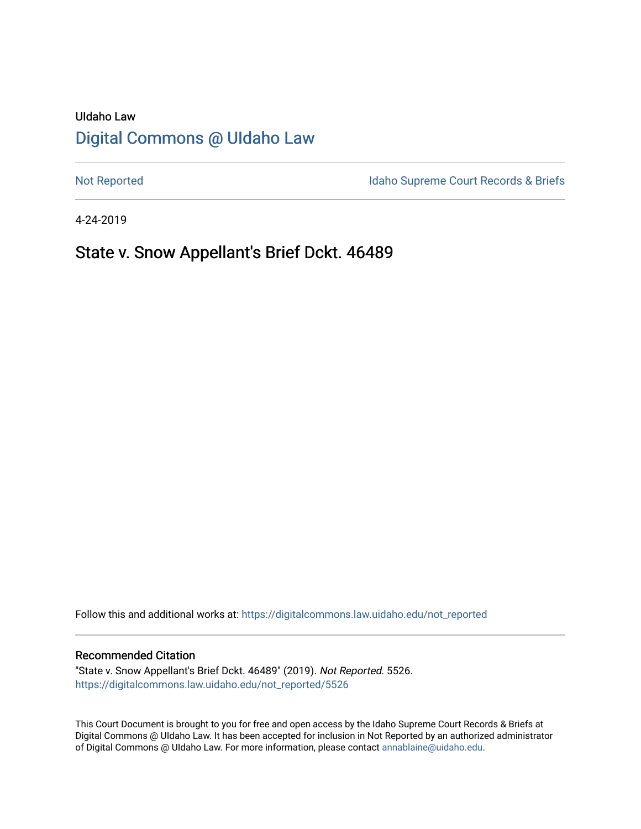# UIdaho Law [Digital Commons @ UIdaho Law](https://digitalcommons.law.uidaho.edu/)

[Not Reported](https://digitalcommons.law.uidaho.edu/not_reported) **Idaho Supreme Court Records & Briefs** 

4-24-2019

## State v. Snow Appellant's Brief Dckt. 46489

Follow this and additional works at: [https://digitalcommons.law.uidaho.edu/not\\_reported](https://digitalcommons.law.uidaho.edu/not_reported?utm_source=digitalcommons.law.uidaho.edu%2Fnot_reported%2F5526&utm_medium=PDF&utm_campaign=PDFCoverPages) 

#### Recommended Citation

"State v. Snow Appellant's Brief Dckt. 46489" (2019). Not Reported. 5526. [https://digitalcommons.law.uidaho.edu/not\\_reported/5526](https://digitalcommons.law.uidaho.edu/not_reported/5526?utm_source=digitalcommons.law.uidaho.edu%2Fnot_reported%2F5526&utm_medium=PDF&utm_campaign=PDFCoverPages)

This Court Document is brought to you for free and open access by the Idaho Supreme Court Records & Briefs at Digital Commons @ UIdaho Law. It has been accepted for inclusion in Not Reported by an authorized administrator of Digital Commons @ UIdaho Law. For more information, please contact [annablaine@uidaho.edu](mailto:annablaine@uidaho.edu).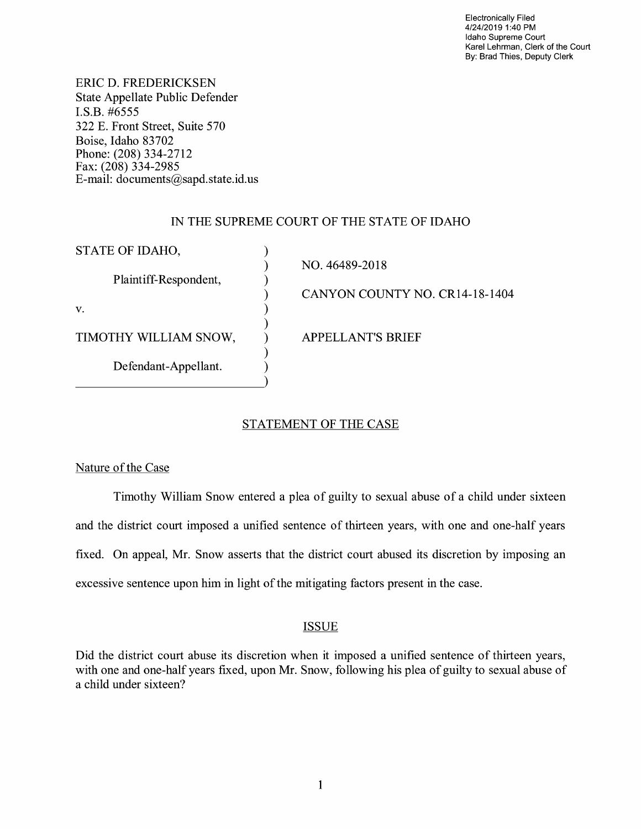Electronically Filed 4/24/2019 1:40 PM Idaho Supreme Court Karel Lehrman, Clerk of the Court By: Brad Thies, Deputy Clerk

ERIC D. FREDERICKSEN State Appellate Public Defender I.S.B. #6555 322 E. Front Street, Suite 570 Boise, Idaho 83702 Phone: (208) 334-2712 Fax: (208) 334-2985 E-mail: documents@sapd.state.id. us

#### IN THE SUPREME COURT OF THE STATE OF IDAHO

| STATE OF IDAHO,       |                                |
|-----------------------|--------------------------------|
|                       | NO. 46489-2018                 |
| Plaintiff-Respondent, |                                |
|                       | CANYON COUNTY NO. CR14-18-1404 |
| V.                    |                                |
| TIMOTHY WILLIAM SNOW, | <b>APPELLANT'S BRIEF</b>       |
|                       |                                |
| Defendant-Appellant.  |                                |
|                       |                                |

## STATEMENT OF THE CASE

### Nature of the Case

Timothy William Snow entered a plea of guilty to sexual abuse of a child under sixteen and the district court imposed a unified sentence of thirteen years, with one and one-half years fixed. On appeal, Mr. Snow asserts that the district court abused its discretion by imposing an excessive sentence upon him in light of the mitigating factors present in the case.

### ISSUE

Did the district court abuse its discretion when it imposed a unified sentence of thirteen years, with one and one-half years fixed, upon Mr. Snow, following his plea of guilty to sexual abuse of a child under sixteen?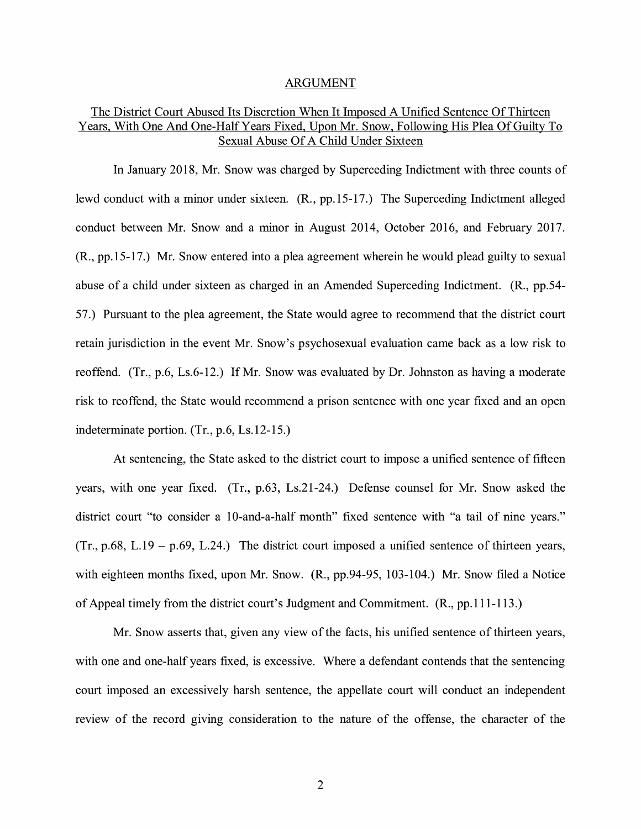#### ARGUMENT

#### The District Court Abused Its Discretion When It Imposed A Unified Sentence Of Thirteen Years, With One And One-Half Years Fixed, Upon Mr. Snow, Following His Plea Of Guilty To Sexual Abuse Of A Child Under Sixteen

In January 2018, Mr. Snow was charged by Superceding Indictment with three counts of lewd conduct with a minor under sixteen. **(R.,** pp.15-17.) The Superceding Indictment alleged conduct between Mr. Snow and a minor in August 2014, October 2016, and February 2017. **(R.,** pp.15-17.) Mr. Snow entered into a plea agreement wherein he would plead guilty to sexual abuse of a child under sixteen as charged in an Amended Superceding Indictment. (R., pp.54- 57.) Pursuant to the plea agreement, the State would agree to recommend that the district court retain jurisdiction in the event Mr. Snow's psychosexual evaluation came back as a low risk to reoffend. (Tr., p.6, Ls.6-12.) If Mr. Snow was evaluated by Dr. Johnston as having a moderate risk to reoffend, the State would recommend a prison sentence with one year fixed and an open indeterminate portion. (Tr., p.6, Ls.12-15.)

At sentencing, the State asked to the district court to impose a unified sentence of fifteen years, with one year fixed. (Tr., p.63, Ls.21-24.) Defense counsel for Mr. Snow asked the district court "to consider a 10-and-a-half month" fixed sentence with "a tail of nine years."  $(Tr., p.68, L.19 - p.69, L.24.)$  The district court imposed a unified sentence of thirteen years, with eighteen months fixed, upon Mr. Snow. (R., pp.94-95, 103-104.) Mr. Snow filed a Notice of Appeal timely from the district court's Judgment and Commitment. (R., pp.111-113.)

Mr. Snow asserts that, given any view of the facts, his unified sentence of thirteen years, with one and one-half years fixed, is excessive. Where a defendant contends that the sentencing court imposed an excessively harsh sentence, the appellate court will conduct an independent review of the record giving consideration to the nature of the offense, the character of the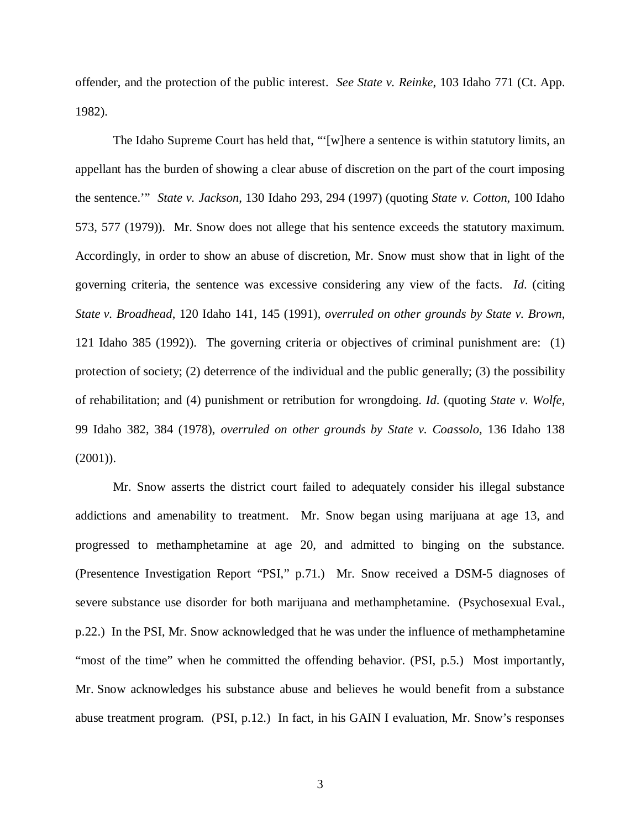offender, and the protection of the public interest. *See State v. Reinke*, 103 Idaho 771 (Ct. App. 1982).

The Idaho Supreme Court has held that, "'[w]here a sentence is within statutory limits, an appellant has the burden of showing a clear abuse of discretion on the part of the court imposing the sentence.'" *State v. Jackson*, 130 Idaho 293, 294 (1997) (quoting *State v. Cotton*, 100 Idaho 573, 577 (1979)). Mr. Snow does not allege that his sentence exceeds the statutory maximum. Accordingly, in order to show an abuse of discretion, Mr. Snow must show that in light of the governing criteria, the sentence was excessive considering any view of the facts. *Id*. (citing *State v. Broadhead*, 120 Idaho 141, 145 (1991), *overruled on other grounds by State v. Brown*, 121 Idaho 385 (1992)). The governing criteria or objectives of criminal punishment are: (1) protection of society; (2) deterrence of the individual and the public generally; (3) the possibility of rehabilitation; and (4) punishment or retribution for wrongdoing. *Id*. (quoting *State v. Wolfe*, 99 Idaho 382, 384 (1978), *overruled on other grounds by State v. Coassolo,* 136 Idaho 138  $(2001)$ ).

Mr. Snow asserts the district court failed to adequately consider his illegal substance addictions and amenability to treatment. Mr. Snow began using marijuana at age 13, and progressed to methamphetamine at age 20, and admitted to binging on the substance. (Presentence Investigation Report "PSI," p.71.) Mr. Snow received a DSM-5 diagnoses of severe substance use disorder for both marijuana and methamphetamine. (Psychosexual Eval., p.22.) In the PSI, Mr. Snow acknowledged that he was under the influence of methamphetamine "most of the time" when he committed the offending behavior. (PSI, p.5.) Most importantly, Mr. Snow acknowledges his substance abuse and believes he would benefit from a substance abuse treatment program. (PSI, p.12.) In fact, in his GAIN I evaluation, Mr. Snow's responses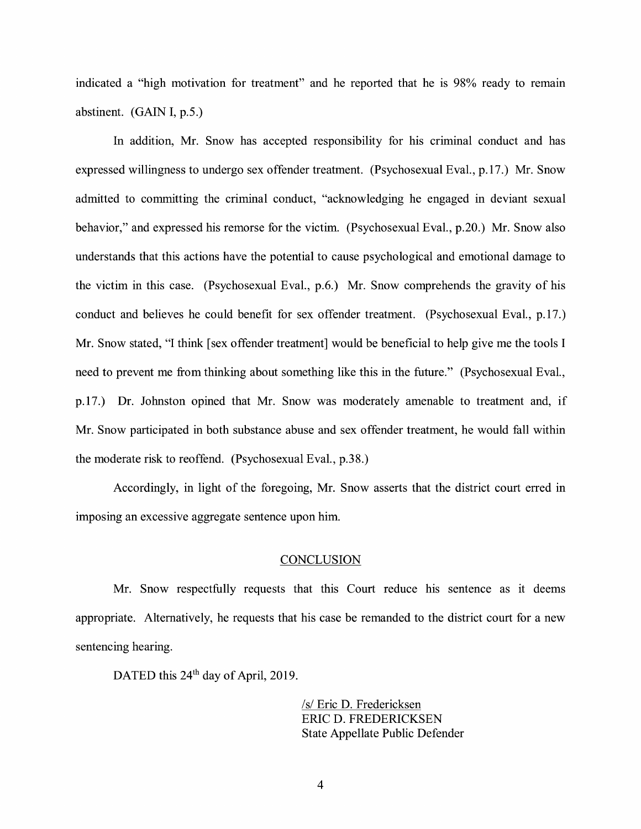indicated a "high motivation for treatment" and he reported that he is 98% ready to remain abstinent. (GAIN I, p.5.)

In addition, Mr. Snow has accepted responsibility for his criminal conduct and has expressed willingness to undergo sex offender treatment. (Psychosexual Eval., p.17.) Mr. Snow admitted to committing the criminal conduct, "acknowledging he engaged in deviant sexual behavior," and expressed his remorse for the victim. (Psychosexual Eval., p.20.) Mr. Snow also understands that this actions have the potential to cause psychological and emotional damage to the victim in this case. (Psychosexual Eval., p.6.) Mr. Snow comprehends the gravity of his conduct and believes he could benefit for sex offender treatment. (Psychosexual Eval., p.17.) Mr. Snow stated, "I think [sex offender treatment] would be beneficial to help give me the tools I need to prevent me from thinking about something like this in the future." (Psychosexual Eval., p.17.) Dr. Johnston opined that Mr. Snow was moderately amenable to treatment and, if Mr. Snow participated in both substance abuse and sex offender treatment, he would fall within the moderate risk to reoffend. (Psychosexual Eval., p.38.)

Accordingly, in light of the foregoing, Mr. Snow asserts that the district court erred in imposing an excessive aggregate sentence upon him.

#### **CONCLUSION**

Mr. Snow respectfully requests that this Court reduce his sentence as it deems appropriate. Alternatively, he requests that his case be remanded to the district court for a new sentencing hearing.

DATED this 24<sup>th</sup> day of April, 2019.

/s/ Eric D. Fredericksen ERIC D. FREDERICKSEN State Appellate Public Defender

4